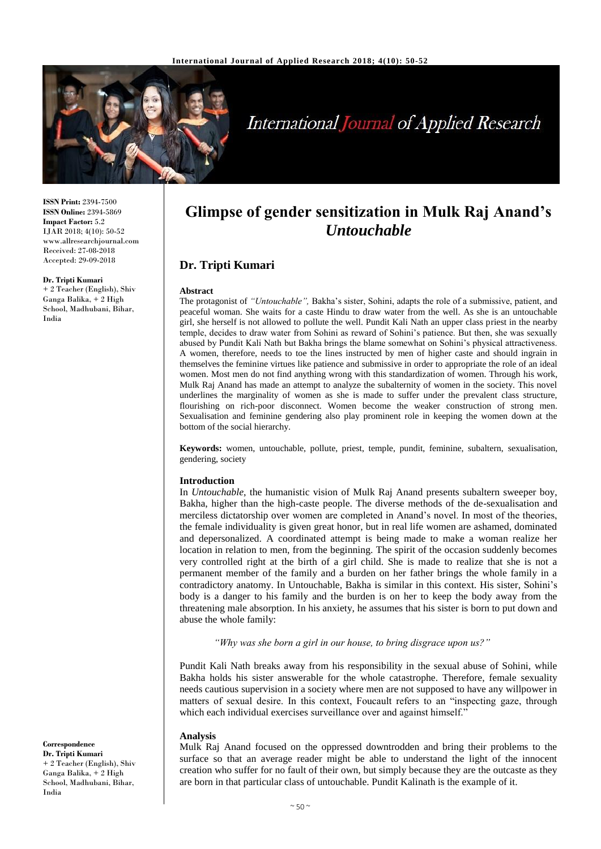

# **International Journal of Applied Research**

**ISSN Print:** 2394-7500 **ISSN Online:** 2394-5869 **Impact Factor:** 5.2 IJAR 2018; 4(10): 50-52 www.allresearchjournal.com Received: 27-08-2018 Accepted: 29-09-2018

#### **Dr. Tripti Kumari**

+ 2 Teacher (English), Shiv Ganga Balika, + 2 High School, Madhubani, Bihar, India

**Glimpse of gender sensitization in Mulk Raj Anand's**  *Untouchable*

# **Dr. Tripti Kumari**

#### **Abstract**

The protagonist of *"Untouchable",* Bakha's sister, Sohini, adapts the role of a submissive, patient, and peaceful woman. She waits for a caste Hindu to draw water from the well. As she is an untouchable girl, she herself is not allowed to pollute the well. Pundit Kali Nath an upper class priest in the nearby temple, decides to draw water from Sohini as reward of Sohini's patience. But then, she was sexually abused by Pundit Kali Nath but Bakha brings the blame somewhat on Sohini's physical attractiveness. A women, therefore, needs to toe the lines instructed by men of higher caste and should ingrain in themselves the feminine virtues like patience and submissive in order to appropriate the role of an ideal women. Most men do not find anything wrong with this standardization of women. Through his work, Mulk Raj Anand has made an attempt to analyze the subalternity of women in the society. This novel underlines the marginality of women as she is made to suffer under the prevalent class structure, flourishing on rich-poor disconnect. Women become the weaker construction of strong men. Sexualisation and feminine gendering also play prominent role in keeping the women down at the bottom of the social hierarchy.

**Keywords:** women, untouchable, pollute, priest, temple, pundit, feminine, subaltern, sexualisation, gendering, society

#### **Introduction**

In *Untouchable*, the humanistic vision of Mulk Raj Anand presents subaltern sweeper boy, Bakha, higher than the high-caste people. The diverse methods of the de-sexualisation and merciless dictatorship over women are completed in Anand's novel. In most of the theories, the female individuality is given great honor, but in real life women are ashamed, dominated and depersonalized. A coordinated attempt is being made to make a woman realize her location in relation to men, from the beginning. The spirit of the occasion suddenly becomes very controlled right at the birth of a girl child. She is made to realize that she is not a permanent member of the family and a burden on her father brings the whole family in a contradictory anatomy. In Untouchable, Bakha is similar in this context. His sister, Sohini's body is a danger to his family and the burden is on her to keep the body away from the threatening male absorption. In his anxiety, he assumes that his sister is born to put down and abuse the whole family:

*"Why was she born a girl in our house, to bring disgrace upon us?"*

Pundit Kali Nath breaks away from his responsibility in the sexual abuse of Sohini, while Bakha holds his sister answerable for the whole catastrophe. Therefore, female sexuality needs cautious supervision in a society where men are not supposed to have any willpower in matters of sexual desire. In this context, Foucault refers to an "inspecting gaze, through which each individual exercises surveillance over and against himself."

### **Analysis**

Mulk Raj Anand focused on the oppressed downtrodden and bring their problems to the surface so that an average reader might be able to understand the light of the innocent creation who suffer for no fault of their own, but simply because they are the outcaste as they are born in that particular class of untouchable. Pundit Kalinath is the example of it.

**Correspondence Dr. Tripti Kumari** + 2 Teacher (English), Shiv Ganga Balika, + 2 High School, Madhubani, Bihar, India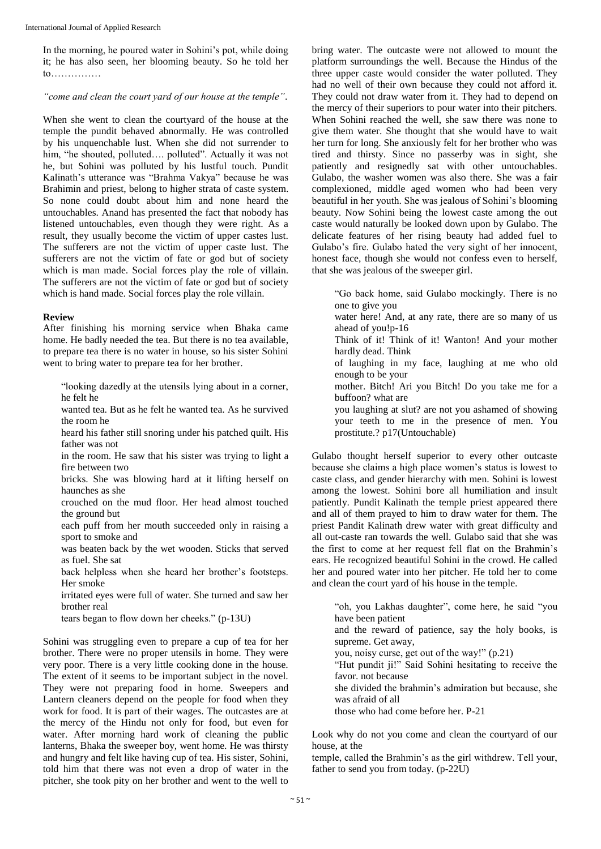In the morning, he poured water in Sohini's pot, while doing it; he has also seen, her blooming beauty. So he told her to……………

*"come and clean the court yard of our house at the temple"*.

When she went to clean the courtyard of the house at the temple the pundit behaved abnormally. He was controlled by his unquenchable lust. When she did not surrender to him, "he shouted, polluted.... polluted". Actually it was not he, but Sohini was polluted by his lustful touch. Pundit Kalinath's utterance was "Brahma Vakya" because he was Brahimin and priest, belong to higher strata of caste system. So none could doubt about him and none heard the untouchables. Anand has presented the fact that nobody has listened untouchables, even though they were right. As a result, they usually become the victim of upper castes lust. The sufferers are not the victim of upper caste lust. The sufferers are not the victim of fate or god but of society which is man made. Social forces play the role of villain. The sufferers are not the victim of fate or god but of society which is hand made. Social forces play the role villain.

#### **Review**

After finishing his morning service when Bhaka came home. He badly needed the tea. But there is no tea available, to prepare tea there is no water in house, so his sister Sohini went to bring water to prepare tea for her brother.

"looking dazedly at the utensils lying about in a corner, he felt he

- wanted tea. But as he felt he wanted tea. As he survived the room he
- heard his father still snoring under his patched quilt. His father was not
- in the room. He saw that his sister was trying to light a fire between two
- bricks. She was blowing hard at it lifting herself on haunches as she
- crouched on the mud floor. Her head almost touched the ground but
- each puff from her mouth succeeded only in raising a sport to smoke and
- was beaten back by the wet wooden. Sticks that served as fuel. She sat
- back helpless when she heard her brother's footsteps. Her smoke
- irritated eyes were full of water. She turned and saw her brother real
- tears began to flow down her cheeks." (p-13U)

Sohini was struggling even to prepare a cup of tea for her brother. There were no proper utensils in home. They were very poor. There is a very little cooking done in the house. The extent of it seems to be important subject in the novel. They were not preparing food in home. Sweepers and Lantern cleaners depend on the people for food when they work for food. It is part of their wages. The outcastes are at the mercy of the Hindu not only for food, but even for water. After morning hard work of cleaning the public lanterns, Bhaka the sweeper boy, went home. He was thirsty and hungry and felt like having cup of tea. His sister, Sohini, told him that there was not even a drop of water in the pitcher, she took pity on her brother and went to the well to

bring water. The outcaste were not allowed to mount the platform surroundings the well. Because the Hindus of the three upper caste would consider the water polluted. They had no well of their own because they could not afford it. They could not draw water from it. They had to depend on the mercy of their superiors to pour water into their pitchers. When Sohini reached the well, she saw there was none to give them water. She thought that she would have to wait her turn for long. She anxiously felt for her brother who was tired and thirsty. Since no passerby was in sight, she patiently and resignedly sat with other untouchables. Gulabo, the washer women was also there. She was a fair complexioned, middle aged women who had been very beautiful in her youth. She was jealous of Sohini's blooming beauty. Now Sohini being the lowest caste among the out caste would naturally be looked down upon by Gulabo. The delicate features of her rising beauty had added fuel to Gulabo's fire. Gulabo hated the very sight of her innocent, honest face, though she would not confess even to herself, that she was jealous of the sweeper girl.

"Go back home, said Gulabo mockingly. There is no one to give you

- water here! And, at any rate, there are so many of us ahead of you!p-16
- Think of it! Think of it! Wanton! And your mother hardly dead. Think
- of laughing in my face, laughing at me who old enough to be your
- mother. Bitch! Ari you Bitch! Do you take me for a buffoon? what are
- you laughing at slut? are not you ashamed of showing your teeth to me in the presence of men. You prostitute.? p17(Untouchable)

Gulabo thought herself superior to every other outcaste because she claims a high place women's status is lowest to caste class, and gender hierarchy with men. Sohini is lowest among the lowest. Sohini bore all humiliation and insult patiently. Pundit Kalinath the temple priest appeared there and all of them prayed to him to draw water for them. The priest Pandit Kalinath drew water with great difficulty and all out-caste ran towards the well. Gulabo said that she was the first to come at her request fell flat on the Brahmin's ears. He recognized beautiful Sohini in the crowd. He called her and poured water into her pitcher. He told her to come and clean the court yard of his house in the temple.

"oh, you Lakhas daughter", come here, he said "you have been patient and the reward of patience, say the holy books, is supreme. Get away, you, noisy curse, get out of the way!" (p.21) "Hut pundit ji!" Said Sohini hesitating to receive the favor. not because she divided the brahmin's admiration but because, she was afraid of all those who had come before her. P-21

Look why do not you come and clean the courtyard of our house, at the

temple, called the Brahmin's as the girl withdrew. Tell your, father to send you from today. (p-22U)